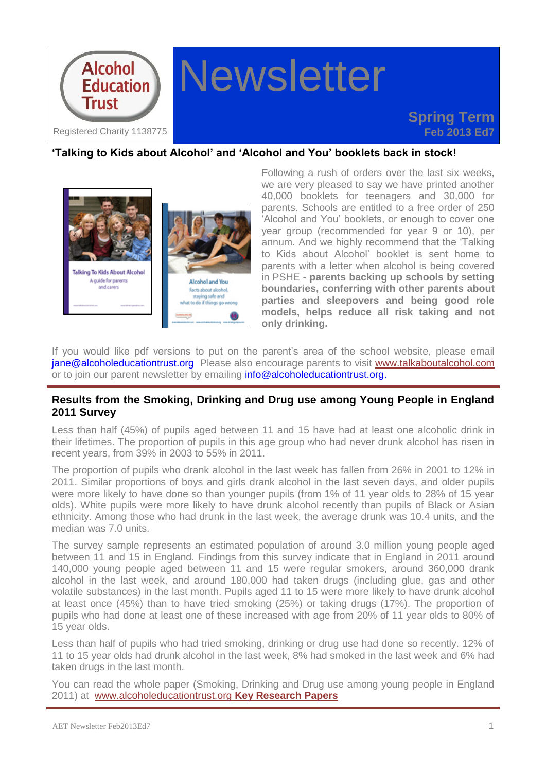

### **'Talking to Kids about Alcohol' and 'Alcohol and You' booklets back in stock!**



Following a rush of orders over the last six weeks, we are very pleased to say we have printed another 40,000 booklets for teenagers and 30,000 for parents. Schools are entitled to a free order of 250 'Alcohol and You' booklets, or enough to cover one year group (recommended for year 9 or 10), per annum. And we highly recommend that the 'Talking to Kids about Alcohol' booklet is sent home to parents with a letter when alcohol is being covered in PSHE - **parents backing up schools by setting boundaries, conferring with other parents about parties and sleepovers and being good role models, helps reduce all risk taking and not only drinking.**

If you would like pdf versions to put on the parent's area of the school website, please email [jane@alcoholeducationtrust.org](mailto:jane@alcoholeducationtrust.org) Please also encourage parents to visit [www.talkaboutalcohol.com](http://www.talkaboutalcohol.com/) or to join our parent newsletter by emailing [info@alcoholeducationtrust.org.](mailto:info@alcoholeducationtrust.org)

#### **Results from the Smoking, Drinking and Drug use among Young People in England 2011 Survey**

Less than half (45%) of pupils aged between 11 and 15 have had at least one alcoholic drink in their lifetimes. The proportion of pupils in this age group who had never drunk alcohol has risen in recent years, from 39% in 2003 to 55% in 2011.

The proportion of pupils who drank alcohol in the last week has fallen from 26% in 2001 to 12% in 2011. Similar proportions of boys and girls drank alcohol in the last seven days, and older pupils were more likely to have done so than younger pupils (from 1% of 11 year olds to 28% of 15 year olds). White pupils were more likely to have drunk alcohol recently than pupils of Black or Asian ethnicity. Among those who had drunk in the last week, the average drunk was 10.4 units, and the median was 7.0 units.

The survey sample represents an estimated population of around 3.0 million young people aged between 11 and 15 in England. Findings from this survey indicate that in England in 2011 around 140,000 young people aged between 11 and 15 were regular smokers, around 360,000 drank alcohol in the last week, and around 180,000 had taken drugs (including glue, gas and other volatile substances) in the last month. Pupils aged 11 to 15 were more likely to have drunk alcohol at least once (45%) than to have tried smoking (25%) or taking drugs (17%). The proportion of pupils who had done at least one of these increased with age from 20% of 11 year olds to 80% of 15 year olds.

Less than half of pupils who had tried smoking, drinking or drug use had done so recently. 12% of 11 to 15 year olds had drunk alcohol in the last week, 8% had smoked in the last week and 6% had taken drugs in the last month.

You can read the whole paper (Smoking, Drinking and Drug use among young people in England 2011) at [www.alcoholeducationtrust.org](http://alcoholeducationtrust.org/Pages/keyresearch.html) **Key Research Papers**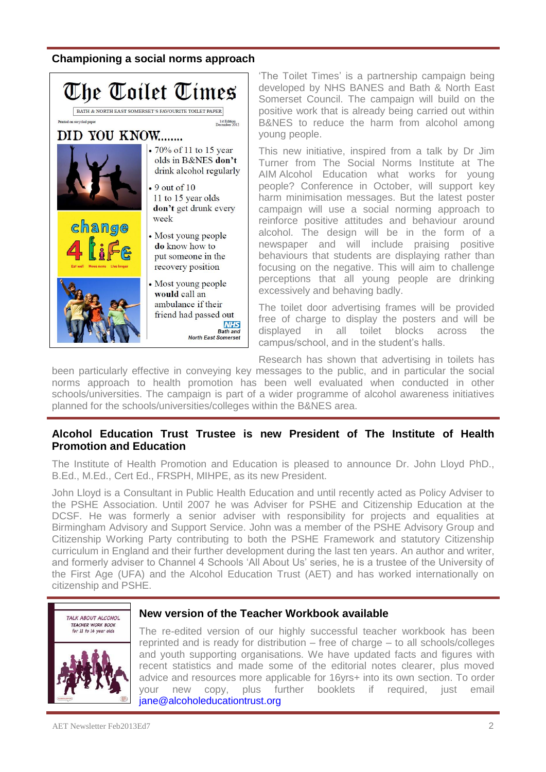## **Championing a social norms approach**



'The Toilet Times' is a partnership campaign being developed by NHS BANES and Bath & North East Somerset Council. The campaign will build on the positive work that is already being carried out within B&NES to reduce the harm from alcohol among young people.

This new initiative, inspired from a talk by Dr Jim Turner from The Social Norms Institute at The AIM Alcohol Education what works for young people? Conference in October, will support key harm minimisation messages. But the latest poster campaign will use a social norming approach to reinforce positive attitudes and behaviour around alcohol. The design will be in the form of a newspaper and will include praising positive behaviours that students are displaying rather than focusing on the negative. This will aim to challenge perceptions that all young people are drinking excessively and behaving badly.

The toilet door advertising frames will be provided free of charge to display the posters and will be displayed in all toilet blocks across the campus/school, and in the student's halls.

Research has shown that advertising in toilets has

been particularly effective in conveying key messages to the public, and in particular the social norms approach to health promotion has been well evaluated when conducted in other schools/universities. The campaign is part of a wider programme of alcohol awareness initiatives planned for the schools/universities/colleges within the B&NES area.

## **Alcohol Education Trust Trustee is new President of The Institute of Health Promotion and Education**

The Institute of Health Promotion and Education is pleased to announce Dr. John Lloyd PhD., B.Ed., M.Ed., Cert Ed., FRSPH, MIHPE, as its new President.

John Lloyd is a Consultant in Public Health Education and until recently acted as Policy Adviser to the PSHE Association. Until 2007 he was Adviser for PSHE and Citizenship Education at the DCSF. He was formerly a senior adviser with responsibility for projects and equalities at Birmingham Advisory and Support Service. John was a member of the PSHE Advisory Group and Citizenship Working Party contributing to both the PSHE Framework and statutory Citizenship curriculum in England and their further development during the last ten years. An author and writer, and formerly adviser to Channel 4 Schools 'All About Us' series, he is a trustee of the University of the First Age (UFA) and the Alcohol Education Trust (AET) and has worked internationally on citizenship and PSHE.



#### **New version of the Teacher Workbook available**

The re-edited version of our highly successful teacher workbook has been reprinted and is ready for distribution – free of charge – to all schools/colleges and youth supporting organisations. We have updated facts and figures with recent statistics and made some of the editorial notes clearer, plus moved advice and resources more applicable for 16yrs+ into its own section. To order your new copy, plus further booklets if required, just email [jane@alcoholeducationtrust.org](mailto:jane@alcoholeducationtrust.org)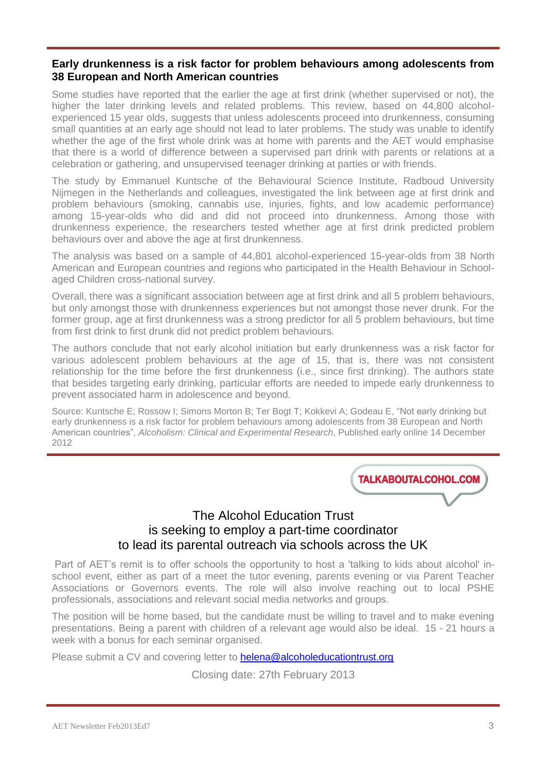#### **Early drunkenness is a risk factor for problem behaviours among adolescents from 38 European and North American countries**

Some studies have reported that the earlier the age at first drink (whether supervised or not), the higher the later drinking levels and related problems. This review, based on 44,800 alcoholexperienced 15 year olds, suggests that unless adolescents proceed into drunkenness, consuming small quantities at an early age should not lead to later problems. The study was unable to identify whether the age of the first whole drink was at home with parents and the AET would emphasise that there is a world of difference between a supervised part drink with parents or relations at a celebration or gathering, and unsupervised teenager drinking at parties or with friends.

The study by Emmanuel Kuntsche of the Behavioural Science Institute, Radboud University Nijmegen in the Netherlands and colleagues, investigated the link between age at first drink and problem behaviours (smoking, cannabis use, injuries, fights, and low academic performance) among 15-year-olds who did and did not proceed into drunkenness. Among those with drunkenness experience, the researchers tested whether age at first drink predicted problem behaviours over and above the age at first drunkenness.

The analysis was based on a sample of 44,801 alcohol-experienced 15-year-olds from 38 North American and European countries and regions who participated in the Health Behaviour in Schoolaged Children cross-national survey.

Overall, there was a significant association between age at first drink and all 5 problem behaviours, but only amongst those with drunkenness experiences but not amongst those never drunk. For the former group, age at first drunkenness was a strong predictor for all 5 problem behaviours, but time from first drink to first drunk did not predict problem behaviours.

The authors conclude that not early alcohol initiation but early drunkenness was a risk factor for various adolescent problem behaviours at the age of 15, that is, there was not consistent relationship for the time before the first drunkenness (i.e., since first drinking). The authors state that besides targeting early drinking, particular efforts are needed to impede early drunkenness to prevent associated harm in adolescence and beyond.

Source: Kuntsche E; Rossow I; Simons Morton B; Ter Bogt T; Kokkevi A; Godeau E, "Not early drinking but early drunkenness is a risk factor for problem behaviours among adolescents from 38 European and North American countries", *Alcoholism: Clinical and Experimental Research*, Published early online 14 December 2012

**TALKABOUTALCOHOL.COM** 

# The Alcohol Education Trust is seeking to employ a part-time coordinator to lead its parental outreach via schools across the UK

Part of AET's remit is to offer schools the opportunity to host a 'talking to kids about alcohol' inschool event, either as part of a meet the tutor evening, parents evening or via Parent Teacher Associations or Governors events. The role will also involve reaching out to local PSHE professionals, associations and relevant social media networks and groups.

The position will be home based, but the candidate must be willing to travel and to make evening presentations. Being a parent with children of a relevant age would also be ideal. 15 - 21 hours a week with a bonus for each seminar organised.

Please submit a CV and covering letter to [helena@alcoholeducationtrust.org](mailto:helena@alcoholeducationtrust.org)

Closing date: 27th February 2013